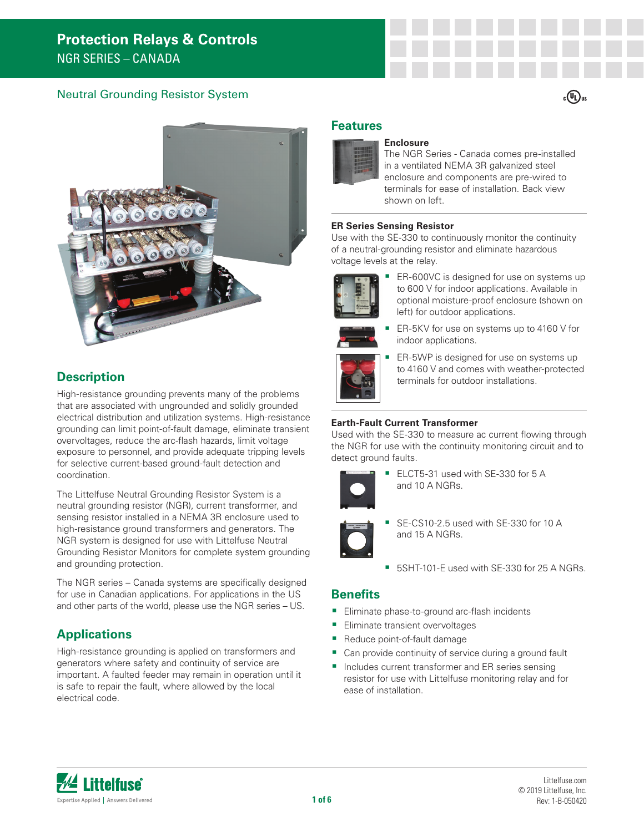### Neutral Grounding Resistor System



# **Description**

High-resistance grounding prevents many of the problems that are associated with ungrounded and solidly grounded electrical distribution and utilization systems. High-resistance grounding can limit point-of-fault damage, eliminate transient overvoltages, reduce the arc-flash hazards, limit voltage exposure to personnel, and provide adequate tripping levels for selective current-based ground-fault detection and coordination.

The Littelfuse Neutral Grounding Resistor System is a neutral grounding resistor (NGR), current transformer, and sensing resistor installed in a NEMA 3R enclosure used to high-resistance ground transformers and generators. The NGR system is designed for use with Littelfuse Neutral Grounding Resistor Monitors for complete system grounding and grounding protection.

The NGR series – Canada systems are specifically designed for use in Canadian applications. For applications in the US and other parts of the world, please use the NGR series – US.

# **Applications**

High-resistance grounding is applied on transformers and generators where safety and continuity of service are important. A faulted feeder may remain in operation until it is safe to repair the fault, where allowed by the local electrical code.

#### **Features**



The NGR Series - Canada comes pre-installed in a ventilated NEMA 3R galvanized steel enclosure and components are pre-wired to terminals for ease of installation. Back view shown on left.

 $_{\mathfrak{c}}$ (U) $_{\mathsf{us}}$ 

#### **ER Series Sensing Resistor**

Use with the SE-330 to continuously monitor the continuity of a neutral-grounding resistor and eliminate hazardous voltage levels at the relay.



 ER-600VC is designed for use on systems up to 600 V for indoor applications. Available in optional moisture-proof enclosure (shown on left) for outdoor applications.



 ER-5KV for use on systems up to 4160 V for indoor applications.



 ER-5WP is designed for use on systems up to 4160 V and comes with weather-protected terminals for outdoor installations.

#### **Earth-Fault Current Transformer**

Used with the SE-330 to measure ac current flowing through the NGR for use with the continuity monitoring circuit and to detect ground faults.



 ELCT5-31 used with SE-330 for 5 A and 10 A NGRs.



- SE-CS10-2.5 used with SE-330 for 10 A and 15 A NGRs.
- **5SHT-101-E used with SE-330 for 25 A NGRs.**

#### **Benefits**

- Eliminate phase-to-ground arc-flash incidents
- Eliminate transient overvoltages
- Reduce point-of-fault damage
- Can provide continuity of service during a ground fault
- **Includes current transformer and ER series sensing** resistor for use with Littelfuse monitoring relay and for ease of installation.

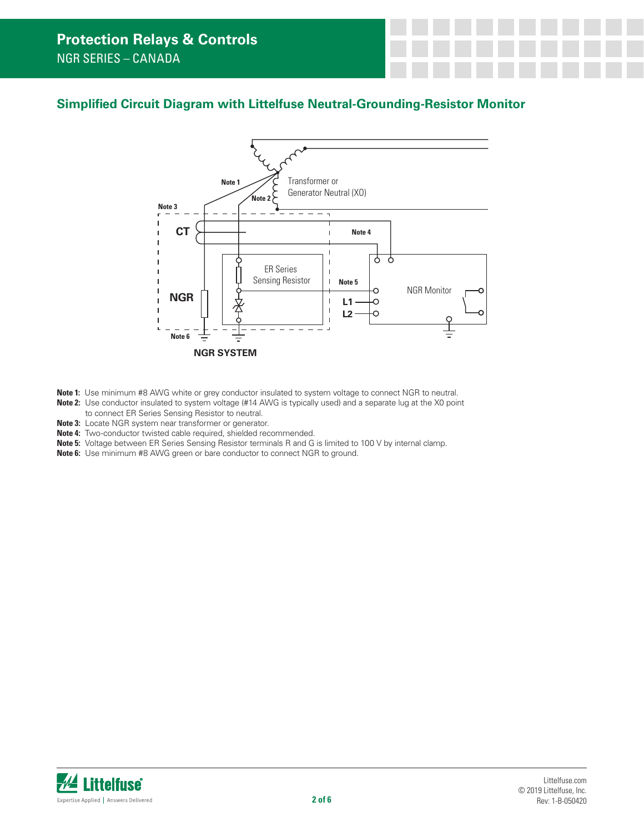# **Simplified Circuit Diagram with Littelfuse Neutral-Grounding-Resistor Monitor**



- **Note 1:** Use minimum #8 AWG white or grey conductor insulated to system voltage to connect NGR to neutral.
- **Note 2:** Use conductor insulated to system voltage (#14 AWG is typically used) and a separate lug at the X0 point to connect ER Series Sensing Resistor to neutral.
- **Note 3:** Locate NGR system near transformer or generator.
- **Note 4:** Two-conductor twisted cable required, shielded recommended.
- **Note 5:** Voltage between ER Series Sensing Resistor terminals R and G is limited to 100 V by internal clamp.
- **Note 6:** Use minimum #8 AWG green or bare conductor to connect NGR to ground.

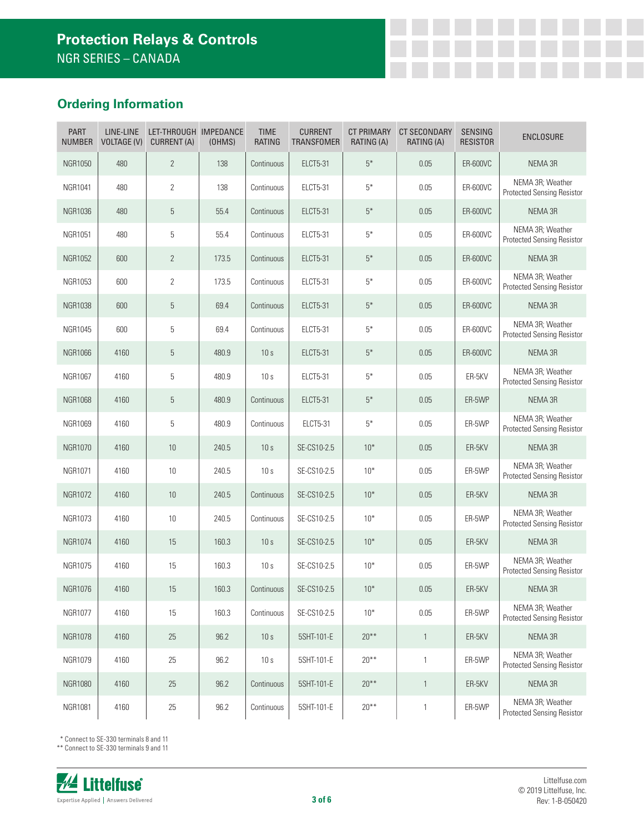# **Ordering Information**

| <b>PART</b><br><b>NUMBER</b> | LINE-LINE<br><b>VOLTAGE (V)</b> | LET-THROUGH IMPEDANCE<br>CURRENT (A) | (OHMS) | <b>TIME</b><br><b>RATING</b> | <b>CURRENT</b><br>TRANSFOMER | <b>CT PRIMARY</b><br>RATING (A) | <b>CT SECONDARY</b><br>RATING (A) | SENSING<br><b>RESISTOR</b> | <b>ENCLOSURE</b>                                      |
|------------------------------|---------------------------------|--------------------------------------|--------|------------------------------|------------------------------|---------------------------------|-----------------------------------|----------------------------|-------------------------------------------------------|
| <b>NGR1050</b>               | 480                             | $\mathbf{2}$                         | 138    | Continuous                   | <b>ELCT5-31</b>              | $5*$                            | 0.05                              | ER-600VC                   | NEMA 3R                                               |
| <b>NGR1041</b>               | 480                             | $\overline{2}$                       | 138    | Continuous                   | <b>ELCT5-31</b>              | $5*$                            | 0.05                              | ER-600VC                   | NEMA 3R: Weather<br><b>Protected Sensing Resistor</b> |
| <b>NGR1036</b>               | 480                             | 5                                    | 55.4   | Continuous                   | <b>ELCT5-31</b>              | $5*$                            | 0.05                              | ER-600VC                   | NEMA 3R                                               |
| <b>NGR1051</b>               | 480                             | 5                                    | 55.4   | Continuous                   | <b>ELCT5-31</b>              | $5^*$                           | 0.05                              | <b>ER-600VC</b>            | NEMA 3R; Weather<br><b>Protected Sensing Resistor</b> |
| <b>NGR1052</b>               | 600                             | $\overline{2}$                       | 173.5  | Continuous                   | <b>ELCT5-31</b>              | $5^*$                           | 0.05                              | ER-600VC                   | NEMA 3R                                               |
| <b>NGR1053</b>               | 600                             | $\overline{2}$                       | 173.5  | Continuous                   | <b>ELCT5-31</b>              | $5*$                            | 0.05                              | ER-600VC                   | NEMA 3R; Weather<br><b>Protected Sensing Resistor</b> |
| <b>NGR1038</b>               | 600                             | 5                                    | 69.4   | Continuous                   | <b>ELCT5-31</b>              | $5^*$                           | 0.05                              | ER-600VC                   | NEMA 3R                                               |
| <b>NGR1045</b>               | 600                             | 5                                    | 69.4   | Continuous                   | <b>ELCT5-31</b>              | $5^*$                           | 0.05                              | ER-600VC                   | NEMA 3R; Weather<br><b>Protected Sensing Resistor</b> |
| <b>NGR1066</b>               | 4160                            | 5                                    | 480.9  | 10 <sub>s</sub>              | <b>ELCT5-31</b>              | $5^*$                           | 0.05                              | ER-600VC                   | NEMA 3R                                               |
| <b>NGR1067</b>               | 4160                            | 5                                    | 480.9  | 10s                          | <b>ELCT5-31</b>              | $5*$                            | 0.05                              | ER-5KV                     | NEMA 3R; Weather<br><b>Protected Sensing Resistor</b> |
| <b>NGR1068</b>               | 4160                            | 5                                    | 480.9  | Continuous                   | <b>ELCT5-31</b>              | $5*$                            | 0.05                              | ER-5WP                     | NEMA 3R                                               |
| <b>NGR1069</b>               | 4160                            | 5                                    | 480.9  | Continuous                   | <b>ELCT5-31</b>              | $5^*$                           | 0.05                              | ER-5WP                     | NEMA 3R; Weather<br><b>Protected Sensing Resistor</b> |
| <b>NGR1070</b>               | 4160                            | $10\,$                               | 240.5  | 10 <sub>s</sub>              | SE-CS10-2.5                  | $10*$                           | 0.05                              | ER-5KV                     | NEMA 3R                                               |
| <b>NGR1071</b>               | 4160                            | 10                                   | 240.5  | 10s                          | SE-CS10-2.5                  | $10*$                           | 0.05                              | ER-5WP                     | NEMA 3R; Weather<br><b>Protected Sensing Resistor</b> |
| <b>NGR1072</b>               | 4160                            | 10                                   | 240.5  | Continuous                   | SE-CS10-2.5                  | $10*$                           | 0.05                              | ER-5KV                     | NEMA 3R                                               |
| <b>NGR1073</b>               | 4160                            | 10                                   | 240.5  | Continuous                   | SE-CS10-2.5                  | $10*$                           | 0.05                              | ER-5WP                     | NEMA 3R; Weather<br><b>Protected Sensing Resistor</b> |
| <b>NGR1074</b>               | 4160                            | 15                                   | 160.3  | 10 <sub>s</sub>              | SE-CS10-2.5                  | $10*$                           | 0.05                              | ER-5KV                     | NEMA 3R                                               |
| <b>NGR1075</b>               | 4160                            | 15                                   | 160.3  | 10s                          | SE-CS10-2.5                  | $10*$                           | 0.05                              | ER-5WP                     | NEMA 3R; Weather<br><b>Protected Sensing Resistor</b> |
| <b>NGR1076</b>               | 4160                            | 15                                   | 160.3  | Continuous                   | SE-CS10-2.5                  | $10*$                           | 0.05                              | ER-5KV                     | NEMA 3R                                               |
| <b>NGR1077</b>               | 4160                            | 15                                   | 160.3  | Continuous                   | SE-CS10-2.5                  | $10*$                           | 0.05                              | ER-5WP                     | NEMA 3R; Weather<br><b>Protected Sensing Resistor</b> |
| <b>NGR1078</b>               | 4160                            | $25\,$                               | 96.2   | 10 <sub>s</sub>              | 5SHT-101-E                   | $20***$                         | $\mathbf{1}$                      | ER-5KV                     | NEMA 3R                                               |
| <b>NGR1079</b>               | 4160                            | 25                                   | 96.2   | 10s                          | 5SHT-101-E                   | $20**$                          | $\mathbf{1}$                      | ER-5WP                     | NEMA 3R; Weather<br><b>Protected Sensing Resistor</b> |
| <b>NGR1080</b>               | 4160                            | 25                                   | 96.2   | Continuous                   | 5SHT-101-E                   | $20**$                          | $\mathbf{1}$                      | ER-5KV                     | NEMA 3R                                               |
| <b>NGR1081</b>               | 4160                            | 25                                   | 96.2   | Continuous                   | 5SHT-101-E                   | $20***$                         | $\mathbf{1}$                      | ER-5WP                     | NEMA 3R: Weather<br><b>Protected Sensing Resistor</b> |

\* Connect to SE-330 terminals 8 and 11

\*\* Connect to SE-330 terminals 9 and 11

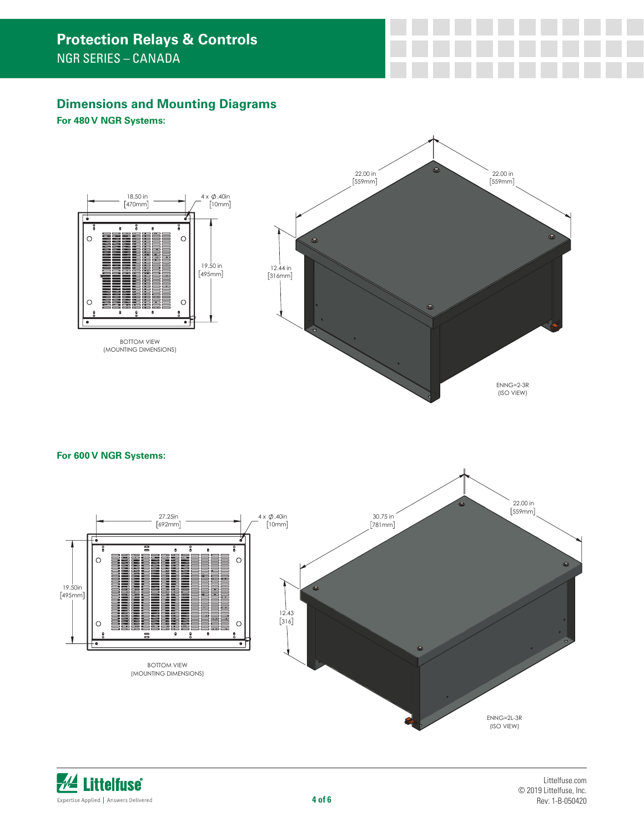## **Dimensions and Mounting Diagrams**

**For 480 V NGR Systems:**



Proprietary and confidential: information contained in this drawing is the sole property of MegaResistors. Reproduction without explicit and written permission by MegaResistors is prohibited.

For 600 V NGR Systems:





WIRE RANGE WITH BINDING SCREW #14 - #2 AWG, Cut and an awg, Cut and a WG, Cut and a WG, Cut and a WG, Cut and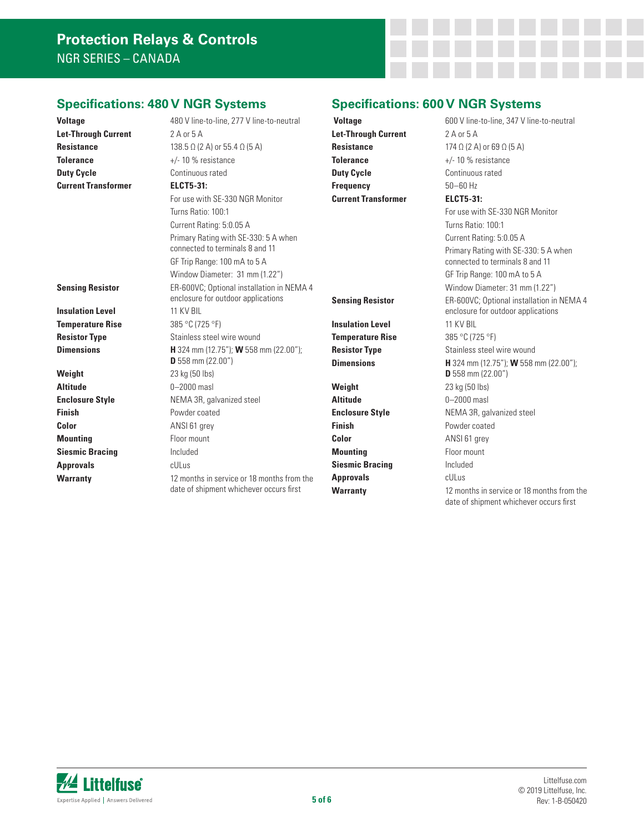## **Specifications: 480 V NGR Systems**

**Let-Through Current** 2 A or 5 A **Tolerance**  $+/-10 %$  resistance **Duty Cycle Continuous rated Current Transformer ELCT5-31:**

**Insulation Level** 11 KV BIL **Temperature Rise** 385 °C (725 °F)

**Weight** 23 kg (50 lbs) **Altitude** 0–2000 masl **Finish** Powder coated **Color** ANSI 61 grey **Mounting** Floor mount **Siesmic Bracing and Included Approvals CULUS** 

**Voltage** 480 V line-to-line, 277 V line-to-neutral **Resistance** 138.5 Ω (2 A) or 55.4 Ω (5 A) For use with SE-330 NGR Monitor Turns Ratio: 100:1 Current Rating: 5:0.05 A Primary Rating with SE-330: 5 A when connected to terminals 8 and 11 GF Trip Range: 100 mA to 5 A Window Diameter: 31 mm (1.22") **Sensing Resistor** ER-600VC; Optional installation in NEMA 4 enclosure for outdoor applications **Resistor Type** Stainless steel wire wound **Dimensions H** 324 mm (12.75"); **W** 558 mm (22.00"); **D** 558 mm (22.00") **Enclosure Style** NEMA 3R, galvanized steel **Warranty** 12 months in service or 18 months from the date of shipment whichever occurs first

## **Specifications: 600 V NGR Systems**

| <b>Voltage</b>             | 600 V lir         |
|----------------------------|-------------------|
| <b>Let-Through Current</b> | 2 A or 5          |
| <b>Resistance</b>          | $174 \Omega (2)$  |
| <b>Tolerance</b>           | $+/- 10 %$        |
| <b>Duty Cycle</b>          | Continuo          |
| <b>Frequency</b>           | $50 - 60$ H       |
| <b>Current Transformer</b> | ELCT5-            |
|                            | For use y         |
|                            | Turns Ra          |
|                            | Current           |
|                            | Primary           |
|                            | connect           |
|                            | GF Trip F         |
|                            | Window            |
| <b>Sensing Resistor</b>    | ER-600V           |
|                            | enclosur          |
| <b>Insulation Level</b>    | <b>11 KV BI</b>   |
| <b>Temperature Rise</b>    | 385 °C (          |
| <b>Resistor Type</b>       | <b>Stainles</b>   |
| <b>Dimensions</b>          | H 324 m           |
|                            | $D$ 558 m         |
| Weight                     | 23 kg (50         |
| <b>Altitude</b>            | $0 - 2000$        |
| <b>Enclosure Style</b>     | NEMA <sub>3</sub> |
| <b>Finish</b>              | Powder            |
| Color                      | ANSI 61           |
| <b>Mounting</b>            | Floor mo          |
| <b>Siesmic Bracing</b>     | Included          |
| <b>Approvals</b>           | cULus             |

V line-to-line, 347 V line-to-neutral or 5 A  $Ω$  (2 A) or 69  $Ω$  (5 A) 10 % resistance tinuous rated **F**60 Hz **Current Transformer ELCT5-31:** use with SF-330 NGR Monitor ns Ratio: 100:1  $rent Rating: 5:0.05 A$ nary Rating with SE-330: 5 A when nected to terminals 8 and 11 Frip Range: 100 mA to 5 A dow Diameter: 31 mm (1.22") **Sensing Resistor** ER-600VC; Optional installation in NEMA 4 losure for outdoor applications **IV BIL Temperature Rise** 385 °C (725 °F) **inless steel wire wound Dimensions H** 324 mm (12.75"); **W** 558 mm (22.00"); **D** 558 mm (22.00") (g (50 lbs) **000 masl AA 3R, galvanized steel Finish** Powder coated SI 61 grey **Mount Warranty** 12 months in service or 18 months from the date of shipment whichever occurs first